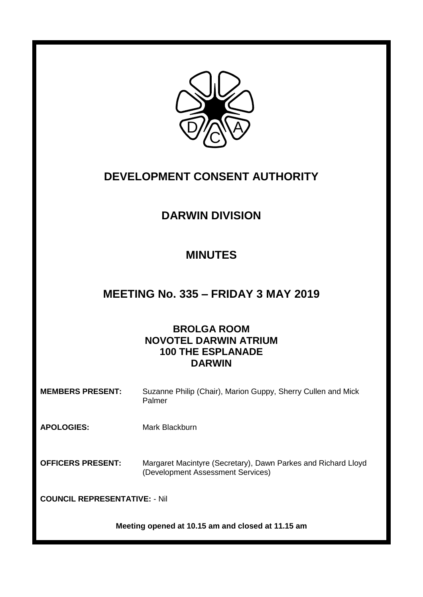

# **DEVELOPMENT CONSENT AUTHORITY**

## **DARWIN DIVISION**

### **MINUTES**

### **MEETING No. 335 – FRIDAY 3 MAY 2019**

### **BROLGA ROOM NOVOTEL DARWIN ATRIUM 100 THE ESPLANADE DARWIN**

| <b>MEMBERS PRESENT:</b> | Suzanne Philip (Chair), Marion Guppy, Sherry Cullen and Mick |
|-------------------------|--------------------------------------------------------------|
|                         | Palmer                                                       |

**APOLOGIES:** Mark Blackburn

**OFFICERS PRESENT:** Margaret Macintyre (Secretary), Dawn Parkes and Richard Lloyd (Development Assessment Services)

**COUNCIL REPRESENTATIVE:** - Nil

**Meeting opened at 10.15 am and closed at 11.15 am**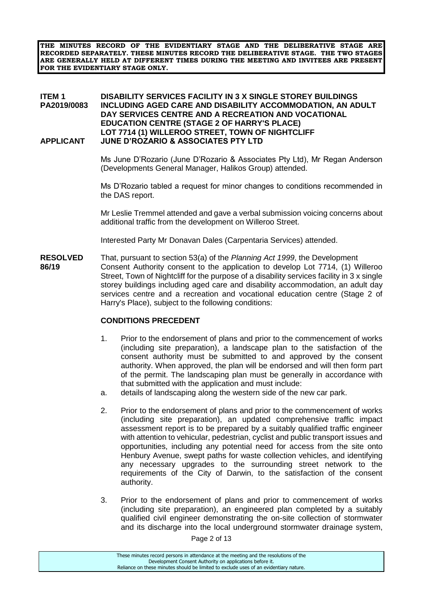**THE MINUTES RECORD OF THE EVIDENTIARY STAGE AND THE DELIBERATIVE STAGE ARE RECORDED SEPARATELY. THESE MINUTES RECORD THE DELIBERATIVE STAGE. THE TWO STAGES ARE GENERALLY HELD AT DIFFERENT TIMES DURING THE MEETING AND INVITEES ARE PRESENT FOR THE EVIDENTIARY STAGE ONLY.**

#### **ITEM 1 DISABILITY SERVICES FACILITY IN 3 X SINGLE STOREY BUILDINGS PA2019/0083 INCLUDING AGED CARE AND DISABILITY ACCOMMODATION, AN ADULT DAY SERVICES CENTRE AND A RECREATION AND VOCATIONAL EDUCATION CENTRE (STAGE 2 OF HARRY'S PLACE) LOT 7714 (1) WILLEROO STREET, TOWN OF NIGHTCLIFF APPLICANT JUNE D'ROZARIO & ASSOCIATES PTY LTD**

Ms June D'Rozario (June D'Rozario & Associates Pty Ltd), Mr Regan Anderson (Developments General Manager, Halikos Group) attended.

Ms D'Rozario tabled a request for minor changes to conditions recommended in the DAS report.

Mr Leslie Tremmel attended and gave a verbal submission voicing concerns about additional traffic from the development on Willeroo Street.

Interested Party Mr Donavan Dales (Carpentaria Services) attended.

**RESOLVED** That, pursuant to section 53(a) of the *Planning Act 1999*, the Development **86/19** Consent Authority consent to the application to develop Lot 7714, (1) Willeroo Street, Town of Nightcliff for the purpose of a disability services facility in 3 x single storey buildings including aged care and disability accommodation, an adult day services centre and a recreation and vocational education centre (Stage 2 of Harry's Place), subject to the following conditions:

#### **CONDITIONS PRECEDENT**

- 1. Prior to the endorsement of plans and prior to the commencement of works (including site preparation), a landscape plan to the satisfaction of the consent authority must be submitted to and approved by the consent authority. When approved, the plan will be endorsed and will then form part of the permit. The landscaping plan must be generally in accordance with that submitted with the application and must include:
- a. details of landscaping along the western side of the new car park.
- 2. Prior to the endorsement of plans and prior to the commencement of works (including site preparation), an updated comprehensive traffic impact assessment report is to be prepared by a suitably qualified traffic engineer with attention to vehicular, pedestrian, cyclist and public transport issues and opportunities, including any potential need for access from the site onto Henbury Avenue, swept paths for waste collection vehicles, and identifying any necessary upgrades to the surrounding street network to the requirements of the City of Darwin, to the satisfaction of the consent authority.
- 3. Prior to the endorsement of plans and prior to commencement of works (including site preparation), an engineered plan completed by a suitably qualified civil engineer demonstrating the on-site collection of stormwater and its discharge into the local underground stormwater drainage system,

Page 2 of 13

These minutes record persons in attendance at the meeting and the resolutions of the Development Consent Authority on applications before it. Reliance on these minutes should be limited to exclude uses of an evidentiary nature.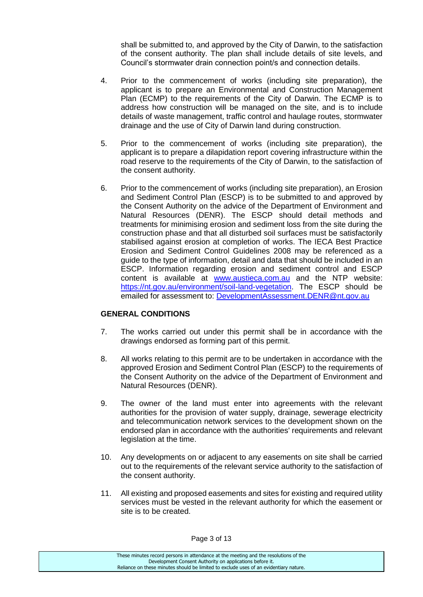shall be submitted to, and approved by the City of Darwin, to the satisfaction of the consent authority. The plan shall include details of site levels, and Council's stormwater drain connection point/s and connection details.

- 4. Prior to the commencement of works (including site preparation), the applicant is to prepare an Environmental and Construction Management Plan (ECMP) to the requirements of the City of Darwin. The ECMP is to address how construction will be managed on the site, and is to include details of waste management, traffic control and haulage routes, stormwater drainage and the use of City of Darwin land during construction.
- 5. Prior to the commencement of works (including site preparation), the applicant is to prepare a dilapidation report covering infrastructure within the road reserve to the requirements of the City of Darwin, to the satisfaction of the consent authority.
- 6. Prior to the commencement of works (including site preparation), an Erosion and Sediment Control Plan (ESCP) is to be submitted to and approved by the Consent Authority on the advice of the Department of Environment and Natural Resources (DENR). The ESCP should detail methods and treatments for minimising erosion and sediment loss from the site during the construction phase and that all disturbed soil surfaces must be satisfactorily stabilised against erosion at completion of works. The IECA Best Practice Erosion and Sediment Control Guidelines 2008 may be referenced as a guide to the type of information, detail and data that should be included in an ESCP. Information regarding erosion and sediment control and ESCP content is available at [www.austieca.com.au](http://www.austieca.com.au/) and the NTP website: [https://nt.gov.au/environment/soil-land-vegetation.](https://nt.gov.au/environment/soil-land-vegetation) The ESCP should be emailed for assessment to: [DevelopmentAssessment.DENR@nt.gov.au](mailto:DevelopmentAssessment.DENR@nt.gov.au)

#### **GENERAL CONDITIONS**

- 7. The works carried out under this permit shall be in accordance with the drawings endorsed as forming part of this permit.
- 8. All works relating to this permit are to be undertaken in accordance with the approved Erosion and Sediment Control Plan (ESCP) to the requirements of the Consent Authority on the advice of the Department of Environment and Natural Resources (DENR).
- 9. The owner of the land must enter into agreements with the relevant authorities for the provision of water supply, drainage, sewerage electricity and telecommunication network services to the development shown on the endorsed plan in accordance with the authorities' requirements and relevant legislation at the time.
- 10. Any developments on or adjacent to any easements on site shall be carried out to the requirements of the relevant service authority to the satisfaction of the consent authority.
- 11. All existing and proposed easements and sites for existing and required utility services must be vested in the relevant authority for which the easement or site is to be created.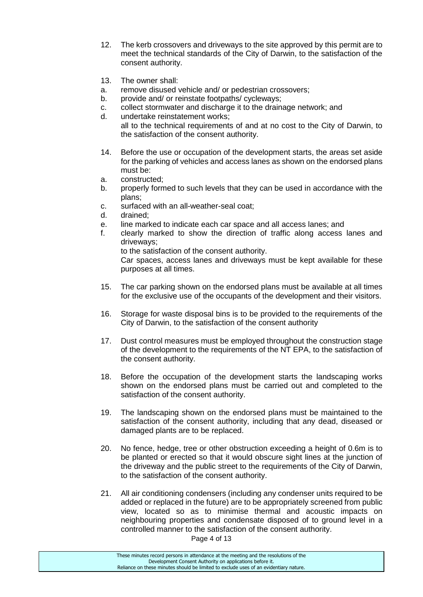- 12. The kerb crossovers and driveways to the site approved by this permit are to meet the technical standards of the City of Darwin, to the satisfaction of the consent authority.
- 13. The owner shall:
- a. remove disused vehicle and/ or pedestrian crossovers;
- b. provide and/ or reinstate footpaths/ cycleways:
- c. collect stormwater and discharge it to the drainage network; and
- d. undertake reinstatement works; all to the technical requirements of and at no cost to the City of Darwin, to the satisfaction of the consent authority.
- 14. Before the use or occupation of the development starts, the areas set aside for the parking of vehicles and access lanes as shown on the endorsed plans must be:
- a. constructed;
- b. properly formed to such levels that they can be used in accordance with the plans;
- c. surfaced with an all-weather-seal coat;
- d. drained;
- e. line marked to indicate each car space and all access lanes; and
- f. clearly marked to show the direction of traffic along access lanes and driveways;

to the satisfaction of the consent authority.

Car spaces, access lanes and driveways must be kept available for these purposes at all times.

- 15. The car parking shown on the endorsed plans must be available at all times for the exclusive use of the occupants of the development and their visitors.
- 16. Storage for waste disposal bins is to be provided to the requirements of the City of Darwin, to the satisfaction of the consent authority
- 17. Dust control measures must be employed throughout the construction stage of the development to the requirements of the NT EPA, to the satisfaction of the consent authority.
- 18. Before the occupation of the development starts the landscaping works shown on the endorsed plans must be carried out and completed to the satisfaction of the consent authority.
- 19. The landscaping shown on the endorsed plans must be maintained to the satisfaction of the consent authority, including that any dead, diseased or damaged plants are to be replaced.
- 20. No fence, hedge, tree or other obstruction exceeding a height of 0.6m is to be planted or erected so that it would obscure sight lines at the junction of the driveway and the public street to the requirements of the City of Darwin, to the satisfaction of the consent authority.
- 21. All air conditioning condensers (including any condenser units required to be added or replaced in the future) are to be appropriately screened from public view, located so as to minimise thermal and acoustic impacts on neighbouring properties and condensate disposed of to ground level in a controlled manner to the satisfaction of the consent authority.

Page 4 of 13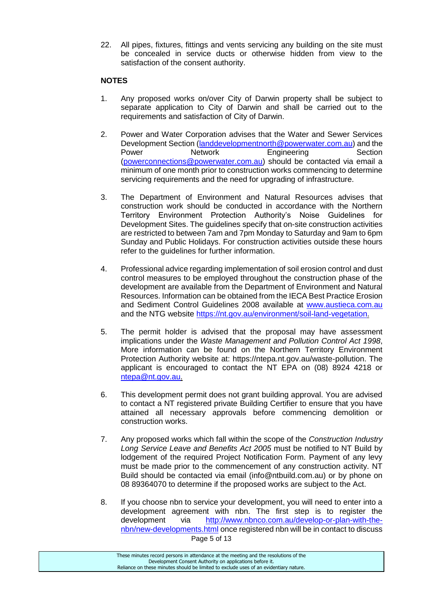22. All pipes, fixtures, fittings and vents servicing any building on the site must be concealed in service ducts or otherwise hidden from view to the satisfaction of the consent authority.

#### **NOTES**

- 1. Any proposed works on/over City of Darwin property shall be subject to separate application to City of Darwin and shall be carried out to the requirements and satisfaction of City of Darwin.
- 2. Power and Water Corporation advises that the Water and Sewer Services Development Section [\(landdevelopmentnorth@powerwater.com.au\)](mailto:landdevelopmentnorth@powerwater.com.au) and the Power Network Engineering Section [\(powerconnections@powerwater.com.au\)](mailto:powerconnections@powerwater.com.au) should be contacted via email a minimum of one month prior to construction works commencing to determine servicing requirements and the need for upgrading of infrastructure.
- 3. The Department of Environment and Natural Resources advises that construction work should be conducted in accordance with the Northern Territory Environment Protection Authority's Noise Guidelines for Development Sites. The guidelines specify that on-site construction activities are restricted to between 7am and 7pm Monday to Saturday and 9am to 6pm Sunday and Public Holidays. For construction activities outside these hours refer to the guidelines for further information.
- 4. Professional advice regarding implementation of soil erosion control and dust control measures to be employed throughout the construction phase of the development are available from the Department of Environment and Natural Resources. Information can be obtained from the IECA Best Practice Erosion and Sediment Control Guidelines 2008 available at [www.austieca.com.au](http://www.austieca.com.au/) and the NTG website [https://nt.gov.au/environment/soil-land-vegetation.](https://nt.gov.au/environment/soil-land-vegetation)
- 5. The permit holder is advised that the proposal may have assessment implications under the *Waste Management and Pollution Control Act 1998*, More information can be found on the Northern Territory Environment Protection Authority website at: https://ntepa.nt.gov.au/waste-pollution. The applicant is encouraged to contact the NT EPA on (08) 8924 4218 or [ntepa@nt.gov.au.](mailto:ntepa@nt.gov.au)
- 6. This development permit does not grant building approval. You are advised to contact a NT registered private Building Certifier to ensure that you have attained all necessary approvals before commencing demolition or construction works.
- 7. Any proposed works which fall within the scope of the *Construction Industry Long Service Leave and Benefits Act 2005* must be notified to NT Build by lodgement of the required Project Notification Form. Payment of any levy must be made prior to the commencement of any construction activity. NT Build should be contacted via email (info@ntbuild.com.au) or by phone on 08 89364070 to determine if the proposed works are subject to the Act.
- Page 5 of 13 8. If you choose nbn to service your development, you will need to enter into a development agreement with nbn. The first step is to register the development via [http://www.nbnco.com.au/develop-or-plan-with-the](http://www.nbnco.com.au/develop-or-plan-with-the-nbn/new-developments.html)[nbn/new-developments.html](http://www.nbnco.com.au/develop-or-plan-with-the-nbn/new-developments.html) once registered nbn will be in contact to discuss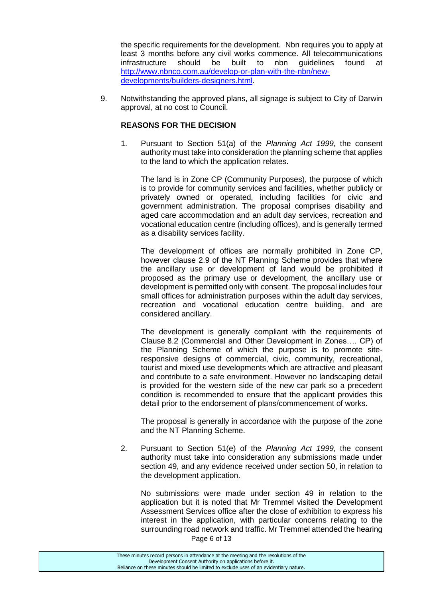the specific requirements for the development. Nbn requires you to apply at least 3 months before any civil works commence. All telecommunications infrastructure should be built to nbn guidelines found at [http://www.nbnco.com.au/develop-or-plan-with-the-nbn/new](http://www.nbnco.com.au/develop-or-plan-with-the-nbn/new-developments/builders-designers.html)[developments/builders-designers.html.](http://www.nbnco.com.au/develop-or-plan-with-the-nbn/new-developments/builders-designers.html)

9. Notwithstanding the approved plans, all signage is subject to City of Darwin approval, at no cost to Council.

#### **REASONS FOR THE DECISION**

1. Pursuant to Section 51(a) of the *Planning Act 1999*, the consent authority must take into consideration the planning scheme that applies to the land to which the application relates.

The land is in Zone CP (Community Purposes), the purpose of which is to provide for community services and facilities, whether publicly or privately owned or operated, including facilities for civic and government administration. The proposal comprises disability and aged care accommodation and an adult day services, recreation and vocational education centre (including offices), and is generally termed as a disability services facility.

The development of offices are normally prohibited in Zone CP, however clause 2.9 of the NT Planning Scheme provides that where the ancillary use or development of land would be prohibited if proposed as the primary use or development, the ancillary use or development is permitted only with consent. The proposal includes four small offices for administration purposes within the adult day services, recreation and vocational education centre building, and are considered ancillary.

The development is generally compliant with the requirements of Clause 8.2 (Commercial and Other Development in Zones…. CP) of the Planning Scheme of which the purpose is to promote siteresponsive designs of commercial, civic, community, recreational, tourist and mixed use developments which are attractive and pleasant and contribute to a safe environment. However no landscaping detail is provided for the western side of the new car park so a precedent condition is recommended to ensure that the applicant provides this detail prior to the endorsement of plans/commencement of works.

The proposal is generally in accordance with the purpose of the zone and the NT Planning Scheme.

2. Pursuant to Section 51(e) of the *Planning Act 1999*, the consent authority must take into consideration any submissions made under section 49, and any evidence received under section 50, in relation to the development application.

Page 6 of 13 No submissions were made under section 49 in relation to the application but it is noted that Mr Tremmel visited the Development Assessment Services office after the close of exhibition to express his interest in the application, with particular concerns relating to the surrounding road network and traffic. Mr Tremmel attended the hearing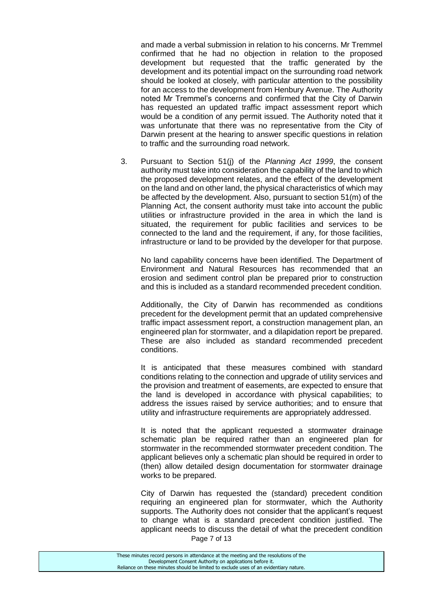and made a verbal submission in relation to his concerns. Mr Tremmel confirmed that he had no objection in relation to the proposed development but requested that the traffic generated by the development and its potential impact on the surrounding road network should be looked at closely, with particular attention to the possibility for an access to the development from Henbury Avenue. The Authority noted Mr Tremmel's concerns and confirmed that the City of Darwin has requested an updated traffic impact assessment report which would be a condition of any permit issued. The Authority noted that it was unfortunate that there was no representative from the City of Darwin present at the hearing to answer specific questions in relation to traffic and the surrounding road network.

3. Pursuant to Section 51(j) of the *Planning Act 1999*, the consent authority must take into consideration the capability of the land to which the proposed development relates, and the effect of the development on the land and on other land, the physical characteristics of which may be affected by the development. Also, pursuant to section 51(m) of the Planning Act, the consent authority must take into account the public utilities or infrastructure provided in the area in which the land is situated, the requirement for public facilities and services to be connected to the land and the requirement, if any, for those facilities, infrastructure or land to be provided by the developer for that purpose.

No land capability concerns have been identified. The Department of Environment and Natural Resources has recommended that an erosion and sediment control plan be prepared prior to construction and this is included as a standard recommended precedent condition.

Additionally, the City of Darwin has recommended as conditions precedent for the development permit that an updated comprehensive traffic impact assessment report, a construction management plan, an engineered plan for stormwater, and a dilapidation report be prepared. These are also included as standard recommended precedent conditions.

It is anticipated that these measures combined with standard conditions relating to the connection and upgrade of utility services and the provision and treatment of easements, are expected to ensure that the land is developed in accordance with physical capabilities; to address the issues raised by service authorities; and to ensure that utility and infrastructure requirements are appropriately addressed.

It is noted that the applicant requested a stormwater drainage schematic plan be required rather than an engineered plan for stormwater in the recommended stormwater precedent condition. The applicant believes only a schematic plan should be required in order to (then) allow detailed design documentation for stormwater drainage works to be prepared.

Page 7 of 13 City of Darwin has requested the (standard) precedent condition requiring an engineered plan for stormwater, which the Authority supports. The Authority does not consider that the applicant's request to change what is a standard precedent condition justified. The applicant needs to discuss the detail of what the precedent condition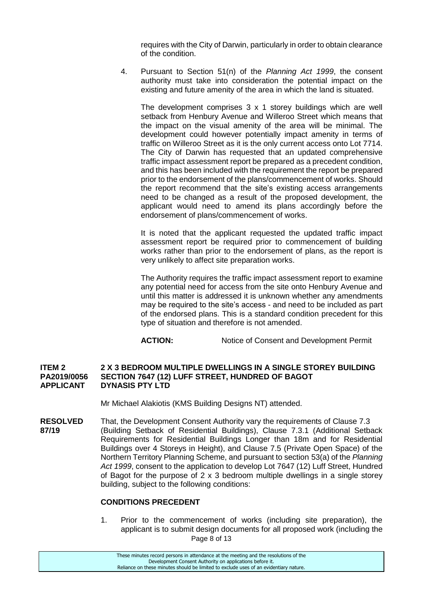requires with the City of Darwin, particularly in order to obtain clearance of the condition.

4. Pursuant to Section 51(n) of the *Planning Act 1999*, the consent authority must take into consideration the potential impact on the existing and future amenity of the area in which the land is situated.

The development comprises 3 x 1 storey buildings which are well setback from Henbury Avenue and Willeroo Street which means that the impact on the visual amenity of the area will be minimal. The development could however potentially impact amenity in terms of traffic on Willeroo Street as it is the only current access onto Lot 7714. The City of Darwin has requested that an updated comprehensive traffic impact assessment report be prepared as a precedent condition, and this has been included with the requirement the report be prepared prior to the endorsement of the plans/commencement of works. Should the report recommend that the site's existing access arrangements need to be changed as a result of the proposed development, the applicant would need to amend its plans accordingly before the endorsement of plans/commencement of works.

It is noted that the applicant requested the updated traffic impact assessment report be required prior to commencement of building works rather than prior to the endorsement of plans, as the report is very unlikely to affect site preparation works.

The Authority requires the traffic impact assessment report to examine any potential need for access from the site onto Henbury Avenue and until this matter is addressed it is unknown whether any amendments may be required to the site's access - and need to be included as part of the endorsed plans. This is a standard condition precedent for this type of situation and therefore is not amended.

**ACTION:** Notice of Consent and Development Permit

#### **ITEM 2 2 X 3 BEDROOM MULTIPLE DWELLINGS IN A SINGLE STOREY BUILDING PA2019/0056 SECTION 7647 (12) LUFF STREET, HUNDRED OF BAGOT DYNASIS PTY LTD**

Mr Michael Alakiotis (KMS Building Designs NT) attended.

**RESOLVED** That, the Development Consent Authority vary the requirements of Clause 7.3 **87/19** (Building Setback of Residential Buildings), Clause 7.3.1 (Additional Setback Requirements for Residential Buildings Longer than 18m and for Residential Buildings over 4 Storeys in Height), and Clause 7.5 (Private Open Space) of the Northern Territory Planning Scheme, and pursuant to section 53(a) of the *Planning Act 1999*, consent to the application to develop Lot 7647 (12) Luff Street, Hundred of Bagot for the purpose of 2 x 3 bedroom multiple dwellings in a single storey building, subject to the following conditions:

#### **CONDITIONS PRECEDENT**

Page 8 of 13 1. Prior to the commencement of works (including site preparation), the applicant is to submit design documents for all proposed work (including the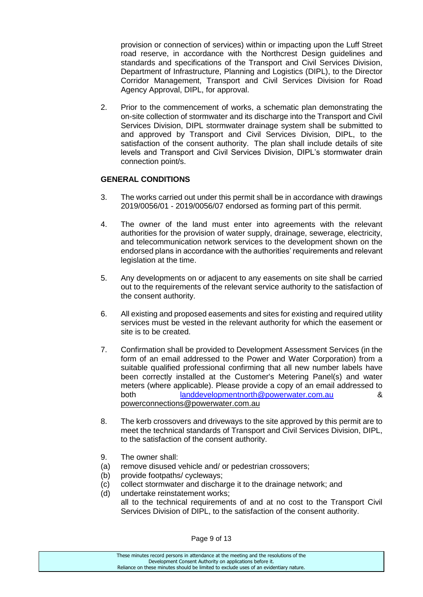provision or connection of services) within or impacting upon the Luff Street road reserve, in accordance with the Northcrest Design guidelines and standards and specifications of the Transport and Civil Services Division, Department of Infrastructure, Planning and Logistics (DIPL), to the Director Corridor Management, Transport and Civil Services Division for Road Agency Approval, DIPL, for approval.

2. Prior to the commencement of works, a schematic plan demonstrating the on-site collection of stormwater and its discharge into the Transport and Civil Services Division, DIPL stormwater drainage system shall be submitted to and approved by Transport and Civil Services Division, DIPL, to the satisfaction of the consent authority. The plan shall include details of site levels and Transport and Civil Services Division, DIPL's stormwater drain connection point/s.

#### **GENERAL CONDITIONS**

- 3. The works carried out under this permit shall be in accordance with drawings 2019/0056/01 - 2019/0056/07 endorsed as forming part of this permit.
- 4. The owner of the land must enter into agreements with the relevant authorities for the provision of water supply, drainage, sewerage, electricity, and telecommunication network services to the development shown on the endorsed plans in accordance with the authorities' requirements and relevant legislation at the time.
- 5. Any developments on or adjacent to any easements on site shall be carried out to the requirements of the relevant service authority to the satisfaction of the consent authority.
- 6. All existing and proposed easements and sites for existing and required utility services must be vested in the relevant authority for which the easement or site is to be created.
- 7. Confirmation shall be provided to Development Assessment Services (in the form of an email addressed to the Power and Water Corporation) from a suitable qualified professional confirming that all new number labels have been correctly installed at the Customer's Metering Panel(s) and water meters (where applicable). Please provide a copy of an email addressed to both [landdevelopmentnorth@powerwater.com.au](mailto:landdevelopmentnorth@powerwater.com.au) & powerconnections@powerwater.com.au
- 8. The kerb crossovers and driveways to the site approved by this permit are to meet the technical standards of Transport and Civil Services Division, DIPL, to the satisfaction of the consent authority.
- 9. The owner shall:
- (a) remove disused vehicle and/ or pedestrian crossovers;
- (b) provide footpaths/ cycleways;
- (c) collect stormwater and discharge it to the drainage network; and
- (d) undertake reinstatement works; all to the technical requirements of and at no cost to the Transport Civil Services Division of DIPL, to the satisfaction of the consent authority.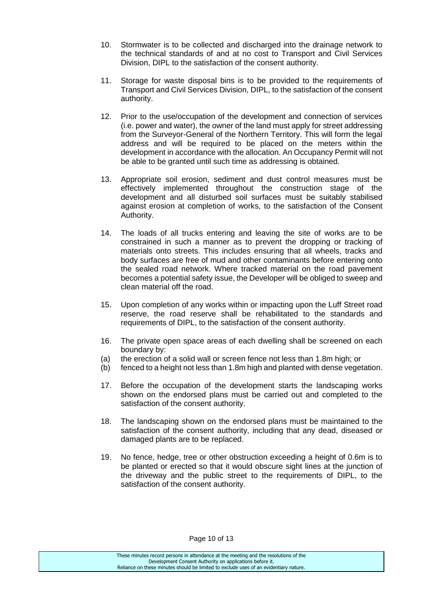- 10. Stormwater is to be collected and discharged into the drainage network to the technical standards of and at no cost to Transport and Civil Services Division, DIPL to the satisfaction of the consent authority.
- 11. Storage for waste disposal bins is to be provided to the requirements of Transport and Civil Services Division, DIPL, to the satisfaction of the consent authority.
- 12. Prior to the use/occupation of the development and connection of services (i.e. power and water), the owner of the land must apply for street addressing from the Surveyor-General of the Northern Territory. This will form the legal address and will be required to be placed on the meters within the development in accordance with the allocation. An Occupancy Permit will not be able to be granted until such time as addressing is obtained.
- 13. Appropriate soil erosion, sediment and dust control measures must be effectively implemented throughout the construction stage of the development and all disturbed soil surfaces must be suitably stabilised against erosion at completion of works, to the satisfaction of the Consent Authority.
- 14. The loads of all trucks entering and leaving the site of works are to be constrained in such a manner as to prevent the dropping or tracking of materials onto streets. This includes ensuring that all wheels, tracks and body surfaces are free of mud and other contaminants before entering onto the sealed road network. Where tracked material on the road pavement becomes a potential safety issue, the Developer will be obliged to sweep and clean material off the road.
- 15. Upon completion of any works within or impacting upon the Luff Street road reserve, the road reserve shall be rehabilitated to the standards and requirements of DIPL, to the satisfaction of the consent authority.
- 16. The private open space areas of each dwelling shall be screened on each boundary by:
- (a) the erection of a solid wall or screen fence not less than 1.8m high; or
- (b) fenced to a height not less than 1.8m high and planted with dense vegetation.
- 17. Before the occupation of the development starts the landscaping works shown on the endorsed plans must be carried out and completed to the satisfaction of the consent authority.
- 18. The landscaping shown on the endorsed plans must be maintained to the satisfaction of the consent authority, including that any dead, diseased or damaged plants are to be replaced.
- 19. No fence, hedge, tree or other obstruction exceeding a height of 0.6m is to be planted or erected so that it would obscure sight lines at the junction of the driveway and the public street to the requirements of DIPL, to the satisfaction of the consent authority.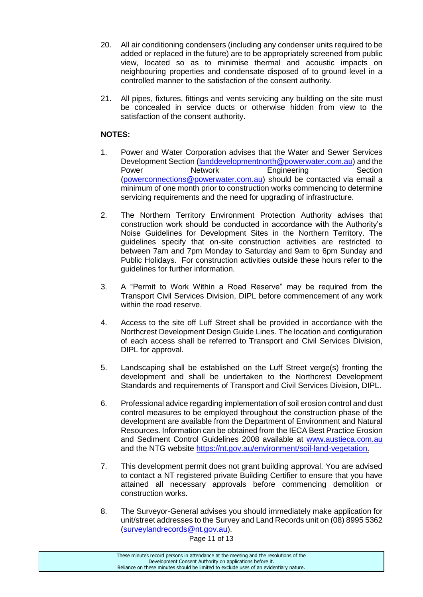- 20. All air conditioning condensers (including any condenser units required to be added or replaced in the future) are to be appropriately screened from public view, located so as to minimise thermal and acoustic impacts on neighbouring properties and condensate disposed of to ground level in a controlled manner to the satisfaction of the consent authority.
- 21. All pipes, fixtures, fittings and vents servicing any building on the site must be concealed in service ducts or otherwise hidden from view to the satisfaction of the consent authority.

### **NOTES:**

- 1. Power and Water Corporation advises that the Water and Sewer Services Development Section [\(landdevelopmentnorth@powerwater.com.au\)](mailto:landdevelopmentnorth@powerwater.com.au) and the Power **Network Engineering** Section [\(powerconnections@powerwater.com.au\)](mailto:powerconnections@powerwater.com.au) should be contacted via email a minimum of one month prior to construction works commencing to determine servicing requirements and the need for upgrading of infrastructure.
- 2. The Northern Territory Environment Protection Authority advises that construction work should be conducted in accordance with the Authority's Noise Guidelines for Development Sites in the Northern Territory. The guidelines specify that on-site construction activities are restricted to between 7am and 7pm Monday to Saturday and 9am to 6pm Sunday and Public Holidays. For construction activities outside these hours refer to the guidelines for further information.
- 3. A "Permit to Work Within a Road Reserve" may be required from the Transport Civil Services Division, DIPL before commencement of any work within the road reserve.
- 4. Access to the site off Luff Street shall be provided in accordance with the Northcrest Development Design Guide Lines. The location and configuration of each access shall be referred to Transport and Civil Services Division, DIPL for approval.
- 5. Landscaping shall be established on the Luff Street verge(s) fronting the development and shall be undertaken to the Northcrest Development Standards and requirements of Transport and Civil Services Division, DIPL.
- 6. Professional advice regarding implementation of soil erosion control and dust control measures to be employed throughout the construction phase of the development are available from the Department of Environment and Natural Resources. Information can be obtained from the IECA Best Practice Erosion and Sediment Control Guidelines 2008 available at [www.austieca.com.au](http://www.austieca.com.au/) and the NTG website [https://nt.gov.au/environment/soil-land-vegetation.](https://nt.gov.au/environment/soil-land-vegetation)
- 7. This development permit does not grant building approval. You are advised to contact a NT registered private Building Certifier to ensure that you have attained all necessary approvals before commencing demolition or construction works.
- 8. The Surveyor-General advises you should immediately make application for unit/street addresses to the Survey and Land Records unit on (08) 8995 5362 [\(surveylandrecords@nt.gov.au\)](mailto:surveylandrecords@nt.gov.au).

Page 11 of 13

| These minutes record persons in attendance at the meeting and the resolutions of the  |
|---------------------------------------------------------------------------------------|
| Development Consent Authority on applications before it.                              |
| Reliance on these minutes should be limited to exclude uses of an evidentiary nature. |
|                                                                                       |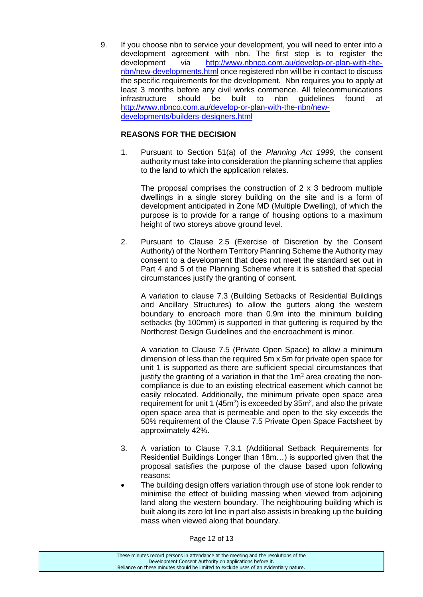9. If you choose nbn to service your development, you will need to enter into a development agreement with nbn. The first step is to register the development via [http://www.nbnco.com.au/develop-or-plan-with-the](http://www.nbnco.com.au/develop-or-plan-with-the-nbn/new-developments.html)[nbn/new-developments.html](http://www.nbnco.com.au/develop-or-plan-with-the-nbn/new-developments.html) once registered nbn will be in contact to discuss the specific requirements for the development. Nbn requires you to apply at least 3 months before any civil works commence. All telecommunications infrastructure should be built to nbn guidelines found at [http://www.nbnco.com.au/develop-or-plan-with-the-nbn/new](http://www.nbnco.com.au/develop-or-plan-with-the-nbn/new-developments/builders-designers.html)[developments/builders-designers.html](http://www.nbnco.com.au/develop-or-plan-with-the-nbn/new-developments/builders-designers.html)

#### **REASONS FOR THE DECISION**

1. Pursuant to Section 51(a) of the *Planning Act 1999*, the consent authority must take into consideration the planning scheme that applies to the land to which the application relates.

The proposal comprises the construction of 2 x 3 bedroom multiple dwellings in a single storey building on the site and is a form of development anticipated in Zone MD (Multiple Dwelling), of which the purpose is to provide for a range of housing options to a maximum height of two storeys above ground level.

2. Pursuant to Clause 2.5 (Exercise of Discretion by the Consent Authority) of the Northern Territory Planning Scheme the Authority may consent to a development that does not meet the standard set out in Part 4 and 5 of the Planning Scheme where it is satisfied that special circumstances justify the granting of consent.

A variation to clause 7.3 (Building Setbacks of Residential Buildings and Ancillary Structures) to allow the gutters along the western boundary to encroach more than 0.9m into the minimum building setbacks (by 100mm) is supported in that guttering is required by the Northcrest Design Guidelines and the encroachment is minor.

A variation to Clause 7.5 (Private Open Space) to allow a minimum dimension of less than the required 5m x 5m for private open space for unit 1 is supported as there are sufficient special circumstances that justify the granting of a variation in that the  $1m<sup>2</sup>$  area creating the noncompliance is due to an existing electrical easement which cannot be easily relocated. Additionally, the minimum private open space area requirement for unit 1 (45 $m<sup>2</sup>$ ) is exceeded by 35 $m<sup>2</sup>$ , and also the private open space area that is permeable and open to the sky exceeds the 50% requirement of the Clause 7.5 Private Open Space Factsheet by approximately 42%.

- 3. A variation to Clause 7.3.1 (Additional Setback Requirements for Residential Buildings Longer than 18m…) is supported given that the proposal satisfies the purpose of the clause based upon following reasons:
- The building design offers variation through use of stone look render to minimise the effect of building massing when viewed from adjoining land along the western boundary. The neighbouring building which is built along its zero lot line in part also assists in breaking up the building mass when viewed along that boundary.

Page 12 of 13

| These minutes record persons in attendance at the meeting and the resolutions of the  |
|---------------------------------------------------------------------------------------|
| Development Consent Authority on applications before it.                              |
| Reliance on these minutes should be limited to exclude uses of an evidentiary nature. |
|                                                                                       |